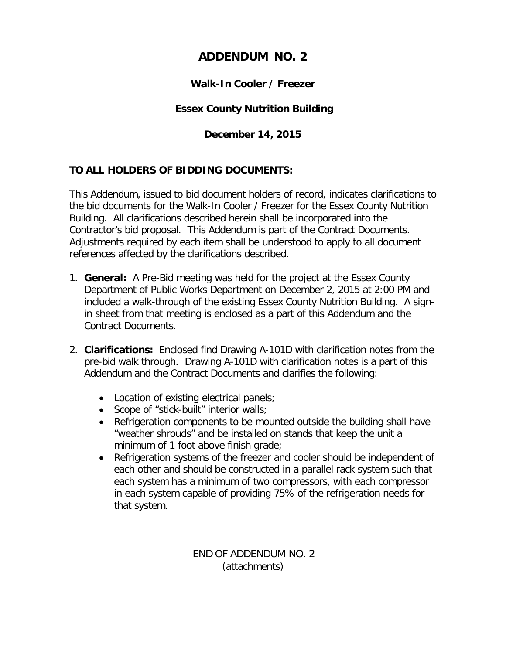## **ADDENDUM NO. 2**

#### **Walk-In Cooler / Freezer**

### **Essex County Nutrition Building**

#### **December 14, 2015**

#### **TO ALL HOLDERS OF BIDDING DOCUMENTS:**

This Addendum, issued to bid document holders of record, indicates clarifications to the bid documents for the Walk-In Cooler / Freezer for the Essex County Nutrition Building. All clarifications described herein shall be incorporated into the Contractor's bid proposal. This Addendum is part of the Contract Documents. Adjustments required by each item shall be understood to apply to all document references affected by the clarifications described.

- 1. **General:** A Pre-Bid meeting was held for the project at the Essex County Department of Public Works Department on December 2, 2015 at 2:00 PM and included a walk-through of the existing Essex County Nutrition Building. A signin sheet from that meeting is enclosed as a part of this Addendum and the Contract Documents.
- 2. **Clarifications:** Enclosed find Drawing A-101D with clarification notes from the pre-bid walk through. Drawing A-101D with clarification notes is a part of this Addendum and the Contract Documents and clarifies the following:
	- Location of existing electrical panels;
	- Scope of "stick-built" interior walls;
	- Refrigeration components to be mounted outside the building shall have "weather shrouds" and be installed on stands that keep the unit a minimum of 1 foot above finish grade;
	- Refrigeration systems of the freezer and cooler should be independent of each other and should be constructed in a parallel rack system such that each system has a minimum of two compressors, with each compressor in each system capable of providing 75% of the refrigeration needs for that system.

END OF ADDENDUM NO. 2 (attachments)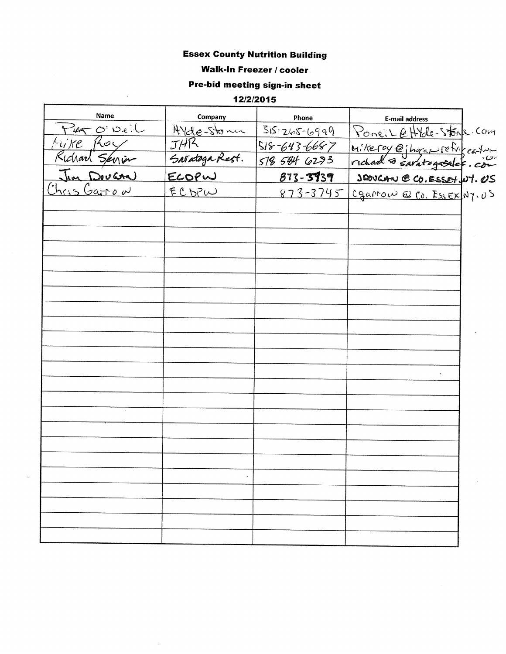#### **Essex County Nutrition Building**

#### **Walk-In Freezer / cooler**

# Pre-bid meeting sign-in sheet

12/2/2015

 $\ddot{\phantom{a}}$ 

 $\bar{\mathcal{A}}$ 

| Name                    | Company        | Phone              | E-mail address                      |  |
|-------------------------|----------------|--------------------|-------------------------------------|--|
| $\rightarrow 4700$ Deil | Hyde-stone     | $35 - 265 - 6999$  | PoneiLettle-Stone-Com               |  |
| Mike Roy                | JHR            | $518 - 643 - 6687$ |                                     |  |
| Richard Servin          | Saratoga Rest. | 518 584 6293       | Mikeroy @jhorap Fettigeston         |  |
| Jim Dougna              | ELOPW          | 873-3939           | SEOVERN @ CO. ESSET, NT. US         |  |
| <u>Chris Garrow</u>     | <u>ECDPW</u>   |                    | 873-3745 Cgarrow @ Co. EssEX Ny. US |  |
|                         |                |                    |                                     |  |
|                         |                |                    |                                     |  |
|                         |                |                    |                                     |  |
|                         |                |                    |                                     |  |
|                         |                |                    |                                     |  |
|                         |                |                    |                                     |  |
|                         |                |                    |                                     |  |
|                         |                |                    |                                     |  |
|                         |                |                    |                                     |  |
|                         |                |                    |                                     |  |
|                         |                |                    |                                     |  |
|                         |                |                    |                                     |  |
|                         |                |                    |                                     |  |
|                         |                |                    |                                     |  |
|                         |                |                    |                                     |  |
|                         |                |                    |                                     |  |
|                         |                |                    |                                     |  |
|                         |                |                    |                                     |  |
|                         |                |                    |                                     |  |
|                         |                |                    |                                     |  |
|                         |                |                    |                                     |  |
|                         |                |                    |                                     |  |
|                         |                |                    |                                     |  |
|                         |                |                    |                                     |  |